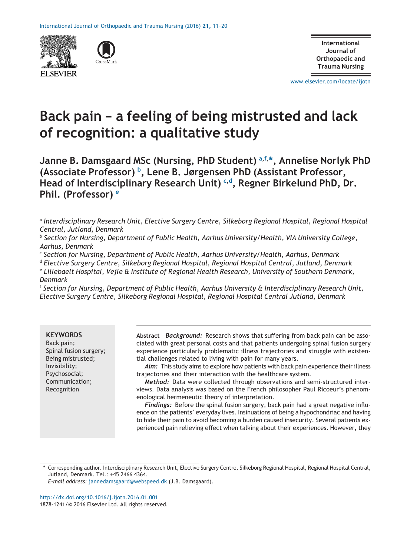



**International Journal of Orthopaedic and Trauma Nursing**

[www.elsevier.com/locate/ijotn](http://www.elsevier.com/locate/IJOTN)

# **Back pain – a feeling of being mistrusted and lack of recognition: a qualitative study**

**Janne B. Damsgaard MSc (Nursing, PhD Student) [a](#page-0-0)[,f,](#page-0-1) [\\*,](#page-0-2) Annelise Norlyk PhD (Associate Professor) [b](#page-0-3) , Lene B. Jørgensen PhD (Assistant Professor, Head of Interdisciplinary Research Unit) [c](#page-0-4)[,d](#page-0-5) , Regner Birkelund PhD, Dr. Phil. (Professor) [e](#page-0-6)**

<span id="page-0-0"></span><sup>a</sup> *Interdisciplinary Research Unit, Elective Surgery Centre, Silkeborg Regional Hospital, Regional Hospital Central, Jutland, Denmark*

<span id="page-0-3"></span><sup>b</sup> *Section for Nursing, Department of Public Health, Aarhus University/Health, VIA University College, Aarhus, Denmark*

<span id="page-0-4"></span><sup>c</sup> *Section for Nursing, Department of Public Health, Aarhus University/Health, Aarhus, Denmark*

<span id="page-0-6"></span><span id="page-0-5"></span><sup>d</sup> *Elective Surgery Centre, Silkeborg Regional Hospital, Regional Hospital Central, Jutland, Denmark* <sup>e</sup> *Lillebaelt Hospital, Vejle & Institute of Regional Health Research, University of Southern Denmark,*

*Denmark*

<span id="page-0-1"></span><sup>f</sup> *Section for Nursing, Department of Public Health, Aarhus University & Interdisciplinary Research Unit, Elective Surgery Centre, Silkeborg Regional Hospital, Regional Hospital Central Jutland, Denmark*

#### **KEYWORDS**

Back pain; Spinal fusion surgery; Being mistrusted; Invisibility; Psychosocial; Communication; Recognition

**Abstract** *Background:* Research shows that suffering from back pain can be associated with great personal costs and that patients undergoing spinal fusion surgery experience particularly problematic illness trajectories and struggle with existential challenges related to living with pain for many years.

*Aim:* This study aims to explore how patients with back pain experience their illness trajectories and their interaction with the healthcare system.

*Method:* Data were collected through observations and semi-structured interviews. Data analysis was based on the French philosopher Paul Ricoeur's phenomenological hermeneutic theory of interpretation.

*Findings:* Before the spinal fusion surgery, back pain had a great negative influence on the patients' everyday lives. Insinuations of being a hypochondriac and having to hide their pain to avoid becoming a burden caused insecurity. Several patients experienced pain relieving effect when talking about their experiences. However, they

<span id="page-0-2"></span>\* Corresponding author. Interdisciplinary Research Unit, Elective Surgery Centre, Silkeborg Regional Hospital, Regional Hospital Central, Jutland, Denmark. Tel.: +45 2466 4364.

*E-mail address:* [jannedamsgaard@webspeed.dk](mailto:jannedamsgaard@webspeed.dk) (J.B. Damsgaard).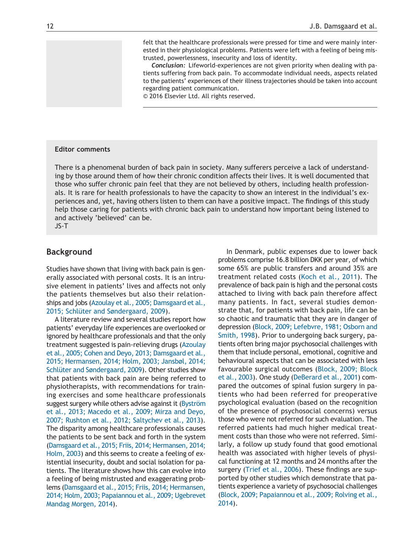felt that the healthcare professionals were pressed for time and were mainly interested in their physiological problems. Patients were left with a feeling of being mistrusted, powerlessness, insecurity and loss of identity.

*Conclusion:* Lifeworld-experiences are not given priority when dealing with patients suffering from back pain. To accommodate individual needs, aspects related to the patients' experiences of their illness trajectories should be taken into account regarding patient communication.

© 2016 Elsevier Ltd. All rights reserved.

#### **Editor comments**

There is a phenomenal burden of back pain in society. Many sufferers perceive a lack of understanding by those around them of how their chronic condition affects their lives. It is well documented that those who suffer chronic pain feel that they are not believed by others, including health professionals. It is rare for health professionals to have the capacity to show an interest in the individual's experiences and, yet, having others listen to them can have a positive impact. The findings of this study help those caring for patients with chronic back pain to understand how important being listened to and actively 'believed' can be.

JS-T

### **Background**

Studies have shown that living with back pain is generally associated with personal costs. It is an intrusive element in patients' lives and affects not only the patients themselves but also their relationships and jobs [\(Azoulay et al., 2005; Damsgaard et al.,](#page-8-0) [2015; Schlüter and Søndergaard, 2009\)](#page-8-0).

A literature review and several studies report how patients' everyday life experiences are overlooked or ignored by healthcare professionals and that the only treatment suggested is pain-relieving drugs [\(Azoulay](#page-8-0) [et al., 2005; Cohen and Deyo, 2013; Damsgaard et al.,](#page-8-0) [2015; Hermansen, 2014; Holm, 2003; Jansbøl, 2014;](#page-8-0) [Schlüter and Søndergaard, 2009\)](#page-8-0). Other studies show that patients with back pain are being referred to physiotherapists, with recommendations for training exercises and some healthcare professionals suggest surgery while others advise against it [\(Byström](#page-8-1) [et al., 2013; Macedo et al., 2009; Mirza and Deyo,](#page-8-1) [2007; Rushton et al., 2012; Saltychev et al., 2013\)](#page-8-1). The disparity among healthcare professionals causes the patients to be sent back and forth in the system [\(Damsgaard et al., 2015; Friis, 2014; Hermansen, 2014;](#page-8-2) [Holm, 2003\)](#page-8-2) and this seems to create a feeling of existential insecurity, doubt and social isolation for patients. The literature shows how this can evolve into a feeling of being mistrusted and exaggerating problems [\(Damsgaard et al., 2015; Friis, 2014; Hermansen,](#page-8-2) [2014; Holm, 2003; Papaiannou et al., 2009; Ugebrevet](#page-8-2) [Mandag Morgen, 2014\)](#page-8-2).

In Denmark, public expenses due to lower back problems comprise 16.8 billion DKK per year, of which some 65% are public transfers and around 35% are treatment related costs [\(Koch et al., 2011\)](#page-8-3). The prevalence of back pain is high and the personal costs attached to living with back pain therefore affect many patients. In fact, several studies demonstrate that, for patients with back pain, life can be so chaotic and traumatic that they are in danger of depression [\(Block, 2009; Lefebvre, 1981; Osborn and](#page-8-4) [Smith, 1998\)](#page-8-4). Prior to undergoing back surgery, patients often bring major psychosocial challenges with them that include personal, emotional, cognitive and behavioural aspects that can be associated with less favourable surgical outcomes [\(Block, 2009; Block](#page-8-4) [et al., 2003\)](#page-8-4). One study [\(DeBerard et al., 2001\)](#page-8-5) compared the outcomes of spinal fusion surgery in patients who had been referred for preoperative psychological evaluation (based on the recognition of the presence of psychosocial concerns) versus those who were not referred for such evaluation. The referred patients had much higher medical treatment costs than those who were not referred. Similarly, a follow up study found that good emotional health was associated with higher levels of physical functioning at 12 months and 24 months after the surgery [\(Trief et al., 2006\)](#page-9-0). These findings are supported by other studies which demonstrate that patients experience a variety of psychosocial challenges [\(Block, 2009; Papaiannou et al., 2009; Rolving et al.,](#page-8-4) [2014\)](#page-8-4).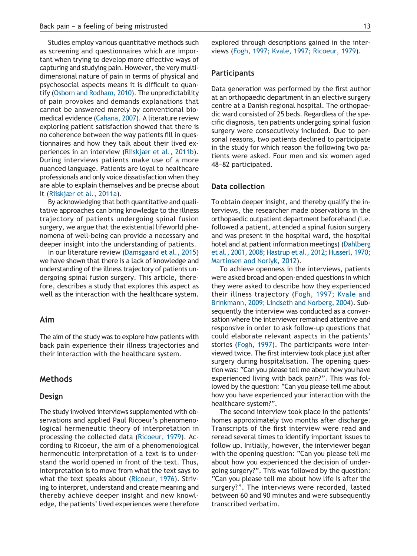Studies employ various quantitative methods such as screening and questionnaires which are important when trying to develop more effective ways of capturing and studying pain. However, the very multidimensional nature of pain in terms of physical and psychosocial aspects means it is difficult to quantify [\(Osborn and Rodham, 2010\)](#page-9-1). The unpredictability of pain provokes and demands explanations that cannot be answered merely by conventional biomedical evidence [\(Cahana, 2007\)](#page-8-6). A literature review exploring patient satisfaction showed that there is no coherence between the way patients fill in questionnaires and how they talk about their lived experiences in an interview [\(Riiskjær et al., 2011b\)](#page-9-2). During interviews patients make use of a more nuanced language. Patients are loyal to healthcare professionals and only voice dissatisfaction when they are able to explain themselves and be precise about it [\(Riiskjær et al., 2011a\)](#page-9-3).

By acknowledging that both quantitative and qualitative approaches can bring knowledge to the illness trajectory of patients undergoing spinal fusion surgery, we argue that the existential lifeworld phenomena of well-being can provide a necessary and deeper insight into the understanding of patients.

In our literature review [\(Damsgaard et al., 2015\)](#page-8-2) we have shown that there is a lack of knowledge and understanding of the illness trajectory of patients undergoing spinal fusion surgery. This article, therefore, describes a study that explores this aspect as well as the interaction with the healthcare system.

# **Aim**

The aim of the study was to explore how patients with back pain experience their illness trajectories and their interaction with the healthcare system.

#### **Methods**

#### **Design**

The study involved interviews supplemented with observations and applied Paul Ricoeur's phenomenological hermeneutic theory of interpretation in processing the collected data [\(Ricoeur, 1979\)](#page-9-4). According to Ricoeur, the aim of a phenomenological hermeneutic interpretation of a text is to understand the world opened in front of the text. Thus, interpretation is to move from what the text says to what the text speaks about [\(Ricoeur, 1976\)](#page-9-5). Striving to interpret, understand and create meaning and thereby achieve deeper insight and new knowledge, the patients' lived experiences were therefore explored through descriptions gained in the interviews [\(Fogh, 1997; Kvale, 1997; Ricoeur, 1979\)](#page-8-7).

#### **Participants**

Data generation was performed by the first author at an orthopaedic department in an elective surgery centre at a Danish regional hospital. The orthopaedic ward consisted of 25 beds. Regardless of the specific diagnosis, ten patients undergoing spinal fusion surgery were consecutively included. Due to personal reasons, two patients declined to participate in the study for which reason the following two patients were asked. Four men and six women aged 48–82 participated.

#### **Data collection**

To obtain deeper insight, and thereby qualify the interviews, the researcher made observations in the orthopaedic outpatient department beforehand (i.e. followed a patient, attended a spinal fusion surgery and was present in the hospital ward, the hospital hotel and at patient information meetings) [\(Dahlberg](#page-8-8) [et al., 2001, 2008; Hastrup et al., 2012; Husserl, 1970;](#page-8-8) [Martinsen and Norlyk, 2012\)](#page-8-8).

To achieve openness in the interviews, patients were asked broad and open-ended questions in which they were asked to describe how they experienced their illness trajectory [\(Fogh, 1997; Kvale and](#page-8-7) [Brinkmann, 2009; Lindseth and Norberg, 2004\)](#page-8-7). Subsequently the interview was conducted as a conversation where the interviewer remained attentive and responsive in order to ask follow-up questions that could elaborate relevant aspects in the patients' stories [\(Fogh, 1997\)](#page-8-7). The participants were interviewed twice. The first interview took place just after surgery during hospitalisation. The opening question was: "Can you please tell me about how you have experienced living with back pain?". This was followed by the question: "Can you please tell me about how you have experienced your interaction with the healthcare system?".

The second interview took place in the patients' homes approximately two months after discharge. Transcripts of the first interview were read and reread several times to identify important issues to follow up. Initially, however, the interviewer began with the opening question: "Can you please tell me about how you experienced the decision of undergoing surgery?". This was followed by the question: "Can you please tell me about how life is after the surgery?". The interviews were recorded, lasted between 60 and 90 minutes and were subsequently transcribed verbatim.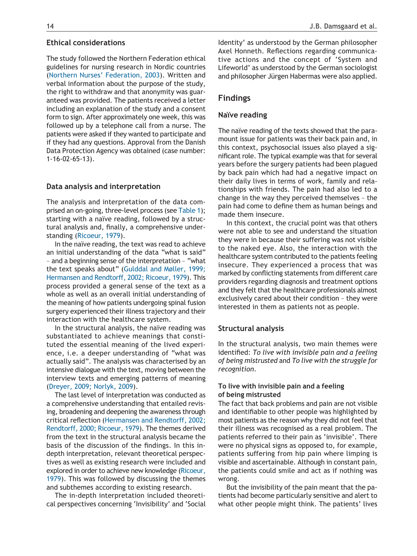#### **Ethical considerations**

The study followed the Northern Federation ethical guidelines for nursing research in Nordic countries [\(Northern Nurses' Federation, 2003\)](#page-8-9). Written and verbal information about the purpose of the study, the right to withdraw and that anonymity was guaranteed was provided. The patients received a letter including an explanation of the study and a consent form to sign. After approximately one week, this was followed up by a telephone call from a nurse. The patients were asked if they wanted to participate and if they had any questions. Approval from the Danish Data Protection Agency was obtained (case number: 1-16-02-65-13).

#### **Data analysis and interpretation**

The analysis and interpretation of the data comprised an on-going, three-level process (see [Table 1\)](#page-4-0); starting with a naïve reading, followed by a structural analysis and, finally, a comprehensive understanding [\(Ricoeur, 1979\)](#page-9-4).

In the naïve reading, the text was read to achieve an initial understanding of the data "what is said" – and a beginning sense of the interpretation – "what the text speaks about" [\(Gulddal and Møller, 1999;](#page-8-10) [Hermansen and Rendtorff, 2002; Ricoeur, 1979\)](#page-8-10). This process provided a general sense of the text as a whole as well as an overall initial understanding of the meaning of how patients undergoing spinal fusion surgery experienced their illness trajectory and their interaction with the healthcare system.

In the structural analysis, the naïve reading was substantiated to achieve meanings that constituted the essential meaning of the lived experience, i.e. a deeper understanding of "what was actually said". The analysis was characterised by an intensive dialogue with the text, moving between the interview texts and emerging patterns of meaning [\(Dreyer, 2009; Norlyk, 2009\)](#page-8-11).

The last level of interpretation was conducted as a comprehensive understanding that entailed revising, broadening and deepening the awareness through critical reflection [\(Hermansen and Rendtorff, 2002;](#page-8-12) [Rendtorff, 2000; Ricoeur, 1979\)](#page-8-12). The themes derived from the text in the structural analysis became the basis of the discussion of the findings. In this indepth interpretation, relevant theoretical perspectives as well as existing research were included and explored in order to achieve new knowledge [\(Ricoeur,](#page-9-4) [1979\)](#page-9-4). This was followed by discussing the themes and subthemes according to existing research.

The in-depth interpretation included theoretical perspectives concerning 'Invisibility' and 'Social Identity' as understood by the German philosopher Axel Honneth. Reflections regarding communicative actions and the concept of 'System and Lifeworld' as understood by the German sociologist and philosopher Jürgen Habermas were also applied.

# **Findings**

#### **Naïve reading**

The naïve reading of the texts showed that the paramount issue for patients was their back pain and, in this context, psychosocial issues also played a significant role. The typical example was that for several years before the surgery patients had been plagued by back pain which had had a negative impact on their daily lives in terms of work, family and relationships with friends. The pain had also led to a change in the way they perceived themselves – the pain had come to define them as human beings and made them insecure.

In this context, the crucial point was that others were not able to see and understand the situation they were in because their suffering was not visible to the naked eye. Also, the interaction with the healthcare system contributed to the patients feeling insecure. They experienced a process that was marked by conflicting statements from different care providers regarding diagnosis and treatment options and they felt that the healthcare professionals almost exclusively cared about their condition – they were interested in them as patients not as people.

#### **Structural analysis**

In the structural analysis, two main themes were identified: *To live with invisible pain and a feeling of being mistrusted* and *To live with the struggle for recognition*.

#### **To live with invisible pain and a feeling of being mistrusted**

The fact that back problems and pain are not visible and identifiable to other people was highlighted by most patients as the reason why they did not feel that their illness was recognised as a real problem. The patients referred to their pain as 'invisible'. There were no physical signs as opposed to, for example, patients suffering from hip pain where limping is visible and ascertainable. Although in constant pain, the patients could smile and act as if nothing was wrong.

But the invisibility of the pain meant that the patients had become particularly sensitive and alert to what other people might think. The patients' lives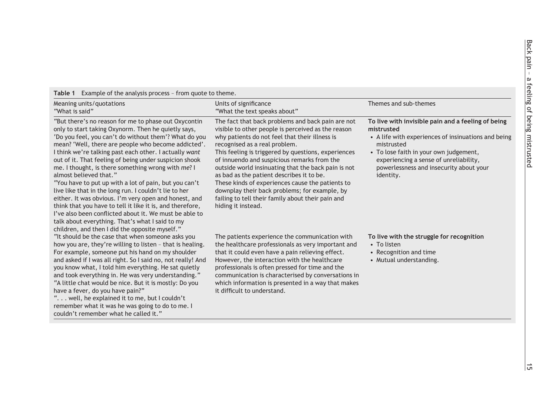<span id="page-4-0"></span>**Table 1** Example of the analysis process – from quote to theme.

| Meaning units/guotations<br>"What is said"                                                                          | Units of significance<br>"What the text speaks about"                                                | Themes and sub-themes                                                                                                                    |
|---------------------------------------------------------------------------------------------------------------------|------------------------------------------------------------------------------------------------------|------------------------------------------------------------------------------------------------------------------------------------------|
| "But there's no reason for me to phase out Oxycontin                                                                | The fact that back problems and back pain are not                                                    | To live with invisible pain and a feeling of being                                                                                       |
| only to start taking Oxynorm. Then he quietly says,<br>'Do you feel, you can't do without them'? What do you        | visible to other people is perceived as the reason<br>why patients do not feel that their illness is | mistrusted<br>• A life with experiences of insinuations and being                                                                        |
| mean? 'Well, there are people who become addicted'.                                                                 | recognised as a real problem.                                                                        | mistrusted                                                                                                                               |
| I think we're talking past each other. I actually want                                                              | This feeling is triggered by questions, experiences                                                  | • To lose faith in your own judgement,<br>experiencing a sense of unreliability,<br>powerlessness and insecurity about your<br>identity. |
| out of it. That feeling of being under suspicion shook                                                              | of innuendo and suspicious remarks from the                                                          |                                                                                                                                          |
| me. I thought, is there something wrong with me? I                                                                  | outside world insinuating that the back pain is not                                                  |                                                                                                                                          |
| almost believed that."                                                                                              | as bad as the patient describes it to be.                                                            |                                                                                                                                          |
| "You have to put up with a lot of pain, but you can't                                                               | These kinds of experiences cause the patients to                                                     |                                                                                                                                          |
| live like that in the long run. I couldn't lie to her                                                               | downplay their back problems; for example, by                                                        |                                                                                                                                          |
| either. It was obvious. I'm very open and honest, and                                                               | failing to tell their family about their pain and                                                    |                                                                                                                                          |
| think that you have to tell it like it is, and therefore,<br>I've also been conflicted about it. We must be able to | hiding it instead.                                                                                   |                                                                                                                                          |
| talk about everything. That's what I said to my                                                                     |                                                                                                      |                                                                                                                                          |
| children, and then I did the opposite myself."                                                                      |                                                                                                      |                                                                                                                                          |
| "It should be the case that when someone asks you                                                                   | The patients experience the communication with                                                       | To live with the struggle for recognition                                                                                                |
| how you are, they're willing to listen - that is healing.                                                           | the healthcare professionals as very important and                                                   | • To listen                                                                                                                              |
| For example, someone put his hand on my shoulder                                                                    | that it could even have a pain relieving effect.                                                     | • Recognition and time                                                                                                                   |
| and asked if I was all right. So I said no, not really! And                                                         | However, the interaction with the healthcare                                                         | • Mutual understanding.                                                                                                                  |
| you know what, I told him everything. He sat quietly                                                                | professionals is often pressed for time and the                                                      |                                                                                                                                          |
| and took everything in. He was very understanding."                                                                 | communication is characterised by conversations in                                                   |                                                                                                                                          |
| "A little chat would be nice. But it is mostly: Do you                                                              | which information is presented in a way that makes                                                   |                                                                                                                                          |
| have a fever, do you have pain?"                                                                                    | it difficult to understand.                                                                          |                                                                                                                                          |
| " well, he explained it to me, but I couldn't                                                                       |                                                                                                      |                                                                                                                                          |
| remember what it was he was going to do to me. I<br>couldn't remember what he called it."                           |                                                                                                      |                                                                                                                                          |
|                                                                                                                     |                                                                                                      |                                                                                                                                          |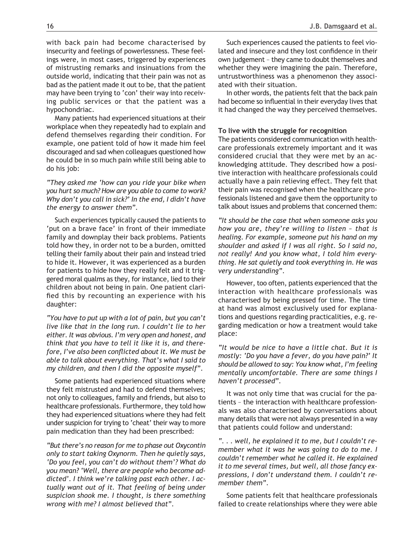with back pain had become characterised by insecurity and feelings of powerlessness. These feelings were, in most cases, triggered by experiences of mistrusting remarks and insinuations from the outside world, indicating that their pain was not as bad as the patient made it out to be, that the patient may have been trying to 'con' their way into receiving public services or that the patient was a hypochondriac.

Many patients had experienced situations at their workplace when they repeatedly had to explain and defend themselves regarding their condition. For example, one patient told of how it made him feel discouraged and sad when colleagues questioned how he could be in so much pain while still being able to do his job:

*"They asked me 'how can you ride your bike when you hurt so much? How are you able to come to work? Why don't you call in sick?' In the end, I didn't have the energy to answer them".*

Such experiences typically caused the patients to 'put on a brave face' in front of their immediate family and downplay their back problems. Patients told how they, in order not to be a burden, omitted telling their family about their pain and instead tried to hide it. However, it was experienced as a burden for patients to hide how they really felt and it triggered moral qualms as they, for instance, lied to their children about not being in pain. One patient clarified this by recounting an experience with his daughter:

*"You have to put up with a lot of pain, but you can't live like that in the long run. I couldn't lie to her either. It was obvious. I'm very open and honest, and think that you have to tell it like it is, and therefore, I've also been conflicted about it. We must be able to talk about everything. That's what I said to my children, and then I did the opposite myself".*

Some patients had experienced situations where they felt mistrusted and had to defend themselves; not only to colleagues, family and friends, but also to healthcare professionals. Furthermore, they told how they had experienced situations where they had felt under suspicion for trying to 'cheat' their way to more pain medication than they had been prescribed:

*"But there's no reason for me to phase out Oxycontin only to start taking Oxynorm. Then he quietly says, 'Do you feel, you can't do without them'? What do you mean? 'Well, there are people who become addicted'. I think we're talking past each other. I actually want out of it. That feeling of being under suspicion shook me. I thought, is there something wrong with me? I almost believed that".*

Such experiences caused the patients to feel violated and insecure and they lost confidence in their own judgement - they came to doubt themselves and whether they were imagining the pain. Therefore, untrustworthiness was a phenomenon they associated with their situation.

In other words, the patients felt that the back pain had become so influential in their everyday lives that it had changed the way they perceived themselves.

#### **To live with the struggle for recognition**

The patients considered communication with healthcare professionals extremely important and it was considered crucial that they were met by an acknowledging attitude. They described how a positive interaction with healthcare professionals could actually have a pain relieving effect. They felt that their pain was recognised when the healthcare professionals listened and gave them the opportunity to talk about issues and problems that concerned them:

*"It should be the case that when someone asks you how you are, they're willing to listen – that is healing. For example, someone put his hand on my shoulder and asked if I was all right. So I said no, not really! And you know what, I told him everything. He sat quietly and took everything in. He was very understanding".*

However, too often, patients experienced that the interaction with healthcare professionals was characterised by being pressed for time. The time at hand was almost exclusively used for explanations and questions regarding practicalities, e.g. regarding medication or how a treatment would take place:

*"It would be nice to have a little chat. But it is mostly: 'Do you have a fever, do you have pain?' It should be allowed to say: You know what, I'm feeling mentally uncomfortable. There are some things I haven't processed".*

It was not only time that was crucial for the patients – the interaction with healthcare professionals was also characterised by conversations about many details that were not always presented in a way that patients could follow and understand:

*". . . well, he explained it to me, but I couldn't remember what it was he was going to do to me. I couldn't remember what he called it. He explained it to me several times, but well, all those fancy expressions, I don't understand them. I couldn't remember them".*

Some patients felt that healthcare professionals failed to create relationships where they were able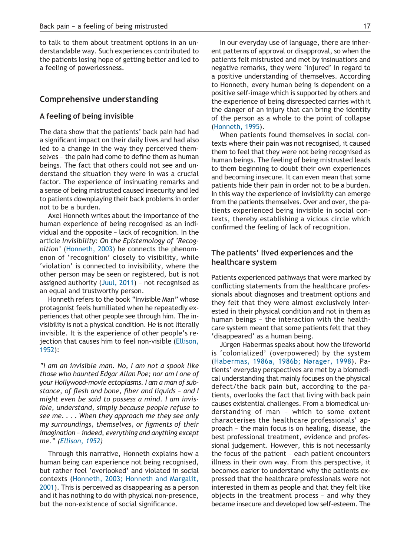to talk to them about treatment options in an understandable way. Such experiences contributed to the patients losing hope of getting better and led to a feeling of powerlessness.

# **Comprehensive understanding**

#### **A feeling of being invisible**

The data show that the patients' back pain had had a significant impact on their daily lives and had also led to a change in the way they perceived themselves - the pain had come to define them as human beings. The fact that others could not see and understand the situation they were in was a crucial factor. The experience of insinuating remarks and a sense of being mistrusted caused insecurity and led to patients downplaying their back problems in order not to be a burden.

Axel Honneth writes about the importance of the human experience of being recognised as an individual and the opposite  $-$  lack of recognition. In the article *Invisibility: On the Epistemology of 'Recognition'* [\(Honneth, 2003\)](#page-8-13) he connects the phenomenon of 'recognition' closely to visibility, while 'violation' is connected to invisibility, where the other person may be seen or registered, but is not assigned authority [\(Juul, 2011\)](#page-8-14) – not recognised as an equal and trustworthy person.

Honneth refers to the book "Invisible Man" whose protagonist feels humiliated when he repeatedly experiences that other people see through him. The invisibility is not a physical condition. He is not literally invisible. It is the experience of other people's rejection that causes him to feel non-visible [\(Ellison,](#page-8-15) [1952\)](#page-8-15):

*"I am an invisible man. No, I am not a spook like those who haunted Edgar Allan Poe; nor am I one of your Hollywood-movie ectoplasms. I am a man of substance, of flesh and bone, fiber and liquids – and I might even be said to possess a mind. I am invisible, understand, simply because people refuse to see me. . . . When they approach me they see only my surroundings, themselves, or figments of their imagination –indeed, everything and anything except me." [\(Ellison, 1952\)](#page-8-15)*

Through this narrative, Honneth explains how a human being can experience not being recognised, but rather feel 'overlooked' and violated in social contexts [\(Honneth, 2003; Honneth and Margalit,](#page-8-13) [2001\)](#page-8-13). This is perceived as disappearing as a person and it has nothing to do with physical non-presence, but the non-existence of social significance.

In our everyday use of language, there are inherent patterns of approval or disapproval, so when the patients felt mistrusted and met by insinuations and negative remarks, they were 'injured' in regard to a positive understanding of themselves. According to Honneth, every human being is dependent on a positive self-image which is supported by others and the experience of being disrespected carries with it the danger of an injury that can bring the identity of the person as a whole to the point of collapse [\(Honneth, 1995\)](#page-8-16).

When patients found themselves in social contexts where their pain was not recognised, it caused them to feel that they were not being recognised as human beings. The feeling of being mistrusted leads to them beginning to doubt their own experiences and becoming insecure. It can even mean that some patients hide their pain in order not to be a burden. In this way the experience of invisibility can emerge from the patients themselves. Over and over, the patients experienced being invisible in social contexts, thereby establishing a vicious circle which confirmed the feeling of lack of recognition.

# **The patients' lived experiences and the healthcare system**

Patients experienced pathways that were marked by conflicting statements from the healthcare professionals about diagnoses and treatment options and they felt that they were almost exclusively interested in their physical condition and not in them as human beings – the interaction with the healthcare system meant that some patients felt that they 'disappeared' as a human being.

Jürgen Habermas speaks about how the lifeworld is 'colonialized' (overpowered) by the system [\(Habermas, 1986a, 1986b; Nørager, 1998\)](#page-8-17). Patients' everyday perspectives are met by a biomedical understanding that mainly focuses on the physical defect/the back pain but, according to the patients, overlooks the fact that living with back pain causes existential challenges. From a biomedical understanding of man – which to some extent characterises the healthcare professionals' approach – the main focus is on healing, disease, the best professional treatment, evidence and professional judgement. However, this is not necessarily the focus of the patient – each patient encounters illness in their own way. From this perspective, it becomes easier to understand why the patients expressed that the healthcare professionals were not interested in them as people and that they felt like objects in the treatment process – and why they became insecure and developed low self-esteem. The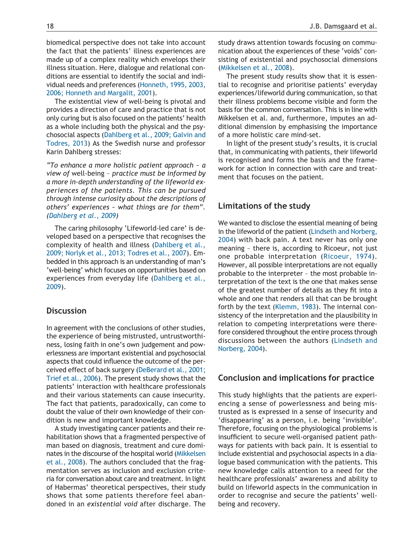biomedical perspective does not take into account the fact that the patients' illness experiences are made up of a complex reality which envelops their illness situation. Here, dialogue and relational conditions are essential to identify the social and individual needs and preferences [\(Honneth, 1995, 2003,](#page-8-16) [2006; Honneth and Margalit, 2001\)](#page-8-16).

The existential view of well-being is pivotal and provides a direction of care and practice that is not only curing but is also focused on the patients' health as a whole including both the physical and the psychosocial aspects [\(Dahlberg et al., 2009; Galvin and](#page-8-18) [Todres, 2013\)](#page-8-18) As the Swedish nurse and professor Karin Dahlberg stresses:

*"To enhance a more holistic patient approach – a view of* well-being – *practice must be informed by a more in-depth understanding of the lifeworld experiences of the patients. This can be pursued through intense curiosity about the descriptions of others' experiences – what things are for them". [\(Dahlberg et al., 2009\)](#page-8-18)*

The caring philosophy 'Lifeworld-led care' is developed based on a perspective that recognises the complexity of health and illness [\(Dahlberg et al.,](#page-8-18) [2009; Norlyk et al., 2013; Todres et al., 2007\)](#page-8-18). Embedded in this approach is an understanding of man's 'well-being' which focuses on opportunities based on experiences from everyday life [\(Dahlberg et al.,](#page-8-18) [2009\)](#page-8-18).

# **Discussion**

In agreement with the conclusions of other studies, the experience of being mistrusted, untrustworthiness, losing faith in one's own judgement and powerlessness are important existential and psychosocial aspects that could influence the outcome of the perceived effect of back surgery [\(DeBerard et al., 2001;](#page-8-5) [Trief et al., 2006\)](#page-8-5). The present study shows that the patients' interaction with healthcare professionals and their various statements can cause insecurity. The fact that patients, paradoxically, can come to doubt the value of their own knowledge of their condition is new and important knowledge.

A study investigating cancer patients and their rehabilitation shows that a fragmented perspective of man based on diagnosis, treatment and cure dominates in the discourse of the hospital world [\(Mikkelsen](#page-8-19) [et al., 2008\)](#page-8-19). The authors concluded that the fragmentation serves as inclusion and exclusion criteria for conversation about care and treatment. In light of Habermas' theoretical perspectives, their study shows that some patients therefore feel abandoned in an *existential void* after discharge. The study draws attention towards focusing on communication about the experiences of these 'voids' consisting of existential and psychosocial dimensions [\(Mikkelsen et al., 2008\)](#page-8-19).

The present study results show that it is essential to recognise and prioritise patients' everyday experiences/lifeworld during communication, so that their illness problems become visible and form the basis for the common conversation. This is in line with Mikkelsen et al. and, furthermore, imputes an additional dimension by emphasising the importance of a more holistic care mind-set.

In light of the present study's results, it is crucial that, in communicating with patients, their lifeworld is recognised and forms the basis and the framework for action in connection with care and treatment that focuses on the patient.

# **Limitations of the study**

We wanted to disclose the essential meaning of being in the lifeworld of the patient [\(Lindseth and Norberg,](#page-8-20) [2004\)](#page-8-20) with back pain. A text never has only one meaning – there is, according to Ricoeur, not just one probable interpretation [\(Ricoeur, 1974\)](#page-9-6). However, all possible interpretations are not equally probable to the interpreter – the most probable interpretation of the text is the one that makes sense of the greatest number of details as they fit into a whole and one that renders all that can be brought forth by the text [\(Klemm, 1983\)](#page-8-21). The internal consistency of the interpretation and the plausibility in relation to competing interpretations were therefore considered throughout the entire process through discussions between the authors [\(Lindseth and](#page-8-20) [Norberg, 2004\)](#page-8-20).

# **Conclusion and implications for practice**

This study highlights that the patients are experiencing a sense of powerlessness and being mistrusted as is expressed in a sense of insecurity and 'disappearing' as a person, i.e. being 'invisible'. Therefore, focusing on the physiological problems is insufficient to secure well-organised patient pathways for patients with back pain. It is essential to include existential and psychosocial aspects in a dialogue based communication with the patients. This new knowledge calls attention to a need for the healthcare professionals' awareness and ability to build on lifeworld aspects in the communication in order to recognise and secure the patients' wellbeing and recovery.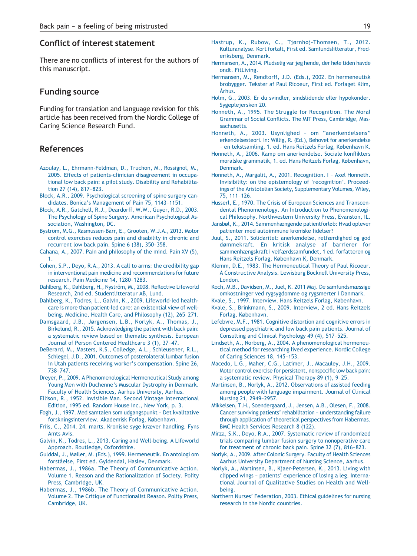# **Conflict of interest statement**

There are no conflicts of interest for the authors of this manuscript.

# **Funding source**

Funding for translation and language revision for this article has been received from the Nordic College of Caring Science Research Fund.

# **References**

- <span id="page-8-0"></span>[Azoulay, L., Ehrmann-Feldman, D., Truchon, M., Rossignol, M.,](http://refhub.elsevier.com/S1878-1241(16)00002-2/sr0010) [2005. Effects of patients-clinician disagreement in occupa](http://refhub.elsevier.com/S1878-1241(16)00002-2/sr0010)[tional low back pain: a pilot study. Disability and Rehabilita](http://refhub.elsevier.com/S1878-1241(16)00002-2/sr0010)[tion 27 \(14\), 817–823.](http://refhub.elsevier.com/S1878-1241(16)00002-2/sr0010)
- <span id="page-8-4"></span>[Block, A.R., 2009. Psychological screening of spine surgery can](http://refhub.elsevier.com/S1878-1241(16)00002-2/sr0015)[didates. Bonica's Management of Pain 75, 1143–1151.](http://refhub.elsevier.com/S1878-1241(16)00002-2/sr0015)
- [Block, A.R., Gatchell, R.J., Deardorff, W.W., Guyer, R.D., 2003.](http://refhub.elsevier.com/S1878-1241(16)00002-2/sr0020) [The Psychology of Spine Surgery. American Psychological As](http://refhub.elsevier.com/S1878-1241(16)00002-2/sr0020)[sociation, Washington, DC.](http://refhub.elsevier.com/S1878-1241(16)00002-2/sr0020)
- <span id="page-8-1"></span>[Byström, M.G., Rasmussen-Barr, E., Grooten, W.J.A., 2013. Motor](http://refhub.elsevier.com/S1878-1241(16)00002-2/sr0025) [control exercises reduces pain and disability in chronic and](http://refhub.elsevier.com/S1878-1241(16)00002-2/sr0025) [recurrent low back pain. Spine 6 \(38\), 350–358.](http://refhub.elsevier.com/S1878-1241(16)00002-2/sr0025)
- <span id="page-8-6"></span>[Cahana, A., 2007. Pain and philosophy of the mind. Pain XV \(5\),](http://refhub.elsevier.com/S1878-1241(16)00002-2/sr0030) [1.](http://refhub.elsevier.com/S1878-1241(16)00002-2/sr0030)
- [Cohen, S.P., Deyo, R.A., 2013. A call to arms: the credibility gap](http://refhub.elsevier.com/S1878-1241(16)00002-2/sr0035) [in interventional pain medicine and recommendations for future](http://refhub.elsevier.com/S1878-1241(16)00002-2/sr0035) [research. Pain Medicine 14, 1280–1283.](http://refhub.elsevier.com/S1878-1241(16)00002-2/sr0035)
- <span id="page-8-8"></span>[Dahlberg, K., Dahlberg, H., Nyström, M., 2008. Reflective Lifeworld](http://refhub.elsevier.com/S1878-1241(16)00002-2/sr0040) [Research, 2nd ed. Studentlitteratur AB, Lund.](http://refhub.elsevier.com/S1878-1241(16)00002-2/sr0040)
- <span id="page-8-18"></span>[Dahlberg, K., Todres, L., Galvin, K., 2009. Lifeworld-led health](http://refhub.elsevier.com/S1878-1241(16)00002-2/sr0045)[care is more than patient-led care: an existential view of well](http://refhub.elsevier.com/S1878-1241(16)00002-2/sr0045)[being. Medicine, Health Care, and Philosophy \(12\), 265–271.](http://refhub.elsevier.com/S1878-1241(16)00002-2/sr0045)
- <span id="page-8-2"></span>[Damsgaard, J.B., Jørgensen, L.B., Norlyk, A., Thomas, J.,](http://refhub.elsevier.com/S1878-1241(16)00002-2/sr0050) [Birkelund, R., 2015. Acknowledging the patient with back pain:](http://refhub.elsevier.com/S1878-1241(16)00002-2/sr0050) [a systematic review based on thematic synthesis. European](http://refhub.elsevier.com/S1878-1241(16)00002-2/sr0050) [Journal of Person Centered Healthcare 3 \(1\), 37–47.](http://refhub.elsevier.com/S1878-1241(16)00002-2/sr0050)
- <span id="page-8-5"></span>[DeBerard, M., Masters, K.S., Colledge, A.L., Schleusener, R.L.,](http://refhub.elsevier.com/S1878-1241(16)00002-2/sr0055) [Schlegel, J.D., 2001. Outcomes of posterolateral lumbar fusion](http://refhub.elsevier.com/S1878-1241(16)00002-2/sr0055) [in Utah patients receiving worker's compensation. Spine 26,](http://refhub.elsevier.com/S1878-1241(16)00002-2/sr0055) [738–747.](http://refhub.elsevier.com/S1878-1241(16)00002-2/sr0055)
- <span id="page-8-11"></span>[Dreyer, P., 2009. A Phenomenological Hermeneutical Study among](http://refhub.elsevier.com/S1878-1241(16)00002-2/sr0060) [Young Men with Duchenne's Muscular Dystrophy in Denmark.](http://refhub.elsevier.com/S1878-1241(16)00002-2/sr0060) [Faculty of Health Sciences, Aarhus University, Aarhus.](http://refhub.elsevier.com/S1878-1241(16)00002-2/sr0060)
- <span id="page-8-15"></span>[Ellison, R., 1952. Invisible Man. Second Vintage International](http://refhub.elsevier.com/S1878-1241(16)00002-2/sr0065) [Edition, 1995 ed. Random House Inc., New York, p. 3.](http://refhub.elsevier.com/S1878-1241(16)00002-2/sr0065)
- <span id="page-8-7"></span>[Fogh, J., 1997. Med samtalen som udgangspunkt](http://refhub.elsevier.com/S1878-1241(16)00002-2/sr0070) – Det kvalitative [forskningsinterview. Akademisk Forlag, København.](http://refhub.elsevier.com/S1878-1241(16)00002-2/sr0070)
- [Friis, C., 2014. 24. marts. Kroniske syge kræver handling. Fyns](http://refhub.elsevier.com/S1878-1241(16)00002-2/sr0075) [Amts Avis.](http://refhub.elsevier.com/S1878-1241(16)00002-2/sr0075)
- [Galvin, K., Todres, L., 2013. Caring and Well-being. A Lifeworld](http://refhub.elsevier.com/S1878-1241(16)00002-2/sr0080) [Approach. Routledge, Oxfordshire.](http://refhub.elsevier.com/S1878-1241(16)00002-2/sr0080)
- <span id="page-8-10"></span>[Gulddal, J., Møller, M. \(Eds.\), 1999. Hermeneutik. En antologi om](http://refhub.elsevier.com/S1878-1241(16)00002-2/sr0085) [forståelse, First ed. Gyldendal, Haslev, Denmark.](http://refhub.elsevier.com/S1878-1241(16)00002-2/sr0085)
- <span id="page-8-17"></span>[Habermas, J., 1986a. The Theory of Communicative Action.](http://refhub.elsevier.com/S1878-1241(16)00002-2/sr0090) [Volume 1. Reason and the Rationalization of Society. Polity](http://refhub.elsevier.com/S1878-1241(16)00002-2/sr0090) [Press, Cambridge, UK.](http://refhub.elsevier.com/S1878-1241(16)00002-2/sr0090)
- [Habermas, J., 1986b. The Theory of Communicative Action.](http://refhub.elsevier.com/S1878-1241(16)00002-2/sr0095) [Volume 2. The Critique of Functionalist Reason. Polity Press,](http://refhub.elsevier.com/S1878-1241(16)00002-2/sr0095) [Cambridge, UK.](http://refhub.elsevier.com/S1878-1241(16)00002-2/sr0095)
- [Hastrup, K., Rubow, C., Tjørnhøj-Thomsen, T., 2012.](http://refhub.elsevier.com/S1878-1241(16)00002-2/sr0100) [Kulturanalyse. Kort fortalt, First ed. Samfundslitteratur, Fred](http://refhub.elsevier.com/S1878-1241(16)00002-2/sr0100)[eriksberg, Denmark.](http://refhub.elsevier.com/S1878-1241(16)00002-2/sr0100)
- [Hermansen, A., 2014. Pludselig var jeg hende, der hele tiden havde](http://refhub.elsevier.com/S1878-1241(16)00002-2/sr0105) [ondt. FitLiving.](http://refhub.elsevier.com/S1878-1241(16)00002-2/sr0105)
- <span id="page-8-12"></span>[Hermansen, M., Rendtorff, J.D. \(Eds.\), 2002. En hermeneutisk](http://refhub.elsevier.com/S1878-1241(16)00002-2/sr0110) [brobygger. Tekster af Paul Ricoeur, First ed. Forlaget Klim,](http://refhub.elsevier.com/S1878-1241(16)00002-2/sr0110) [Århus.](http://refhub.elsevier.com/S1878-1241(16)00002-2/sr0110)
- [Holm, G., 2003. Er du svindler, sindslidende eller hypokonder.](http://refhub.elsevier.com/S1878-1241(16)00002-2/sr0115) [Sygeplejersken 20.](http://refhub.elsevier.com/S1878-1241(16)00002-2/sr0115)
- <span id="page-8-16"></span>[Honneth, A., 1995. The Struggle for Recognition. The Moral](http://refhub.elsevier.com/S1878-1241(16)00002-2/sr0120) [Grammar of Social Conflicts. The MIT Press, Cambridge, Mas](http://refhub.elsevier.com/S1878-1241(16)00002-2/sr0120)[sachusetts.](http://refhub.elsevier.com/S1878-1241(16)00002-2/sr0120)
- <span id="page-8-13"></span>[Honneth, A., 2003. Usynlighed](http://refhub.elsevier.com/S1878-1241(16)00002-2/sr0125) – om "anerkendelsens" [erkendelsesteori. In: Willig, R. \(Ed.\), Behovet for anerkendelse](http://refhub.elsevier.com/S1878-1241(16)00002-2/sr0125) – [en tekstsamling, 1. ed. Hans Reitzels Forlag, København K.](http://refhub.elsevier.com/S1878-1241(16)00002-2/sr0125)
- [Honneth, A., 2006. Kamp om anerkendelse. Sociale konflikters](http://refhub.elsevier.com/S1878-1241(16)00002-2/sr0130) [moralske grammatik, 1. ed. Hans Reitzels Forlag, København,](http://refhub.elsevier.com/S1878-1241(16)00002-2/sr0130) [Denmark.](http://refhub.elsevier.com/S1878-1241(16)00002-2/sr0130)
- [Honneth, A., Margalit, A., 2001. Recognition. I](http://refhub.elsevier.com/S1878-1241(16)00002-2/sr0135) Axel Honneth. [Invisibility: on the epistemology of 'recognition'. Proceed](http://refhub.elsevier.com/S1878-1241(16)00002-2/sr0135)[ings of the Aristotelian Society, Supplementary Volumes, Wiley,](http://refhub.elsevier.com/S1878-1241(16)00002-2/sr0135) [75, 111–126.](http://refhub.elsevier.com/S1878-1241(16)00002-2/sr0135)
- [Husserl, E., 1970. The Crisis of European Sciences and Transcen](http://refhub.elsevier.com/S1878-1241(16)00002-2/sr0140)[dental Phenomenology. An Introduction to Phenomenologi](http://refhub.elsevier.com/S1878-1241(16)00002-2/sr0140)[cal Philosophy. Northwestern University Press, Evanston, IL.](http://refhub.elsevier.com/S1878-1241(16)00002-2/sr0140)
- [Jansbøl, K., 2014. Sammenhængende patientforløb: Hvad oplever](http://refhub.elsevier.com/S1878-1241(16)00002-2/sr0145) [patienter med autoimmune kroniske lidelser?](http://refhub.elsevier.com/S1878-1241(16)00002-2/sr0145)
- <span id="page-8-14"></span>[Juul, S., 2011. Solidaritet: anerkendelse, retfærdighed og god](http://refhub.elsevier.com/S1878-1241(16)00002-2/sr0150) [dømmekraft. En kritisk analyse af barrierer for](http://refhub.elsevier.com/S1878-1241(16)00002-2/sr0150) [sammenhængskraft i velfærdssamfundet, 1 ed. forfatteren og](http://refhub.elsevier.com/S1878-1241(16)00002-2/sr0150) [Hans Reitzels Forlag, København K, Denmark.](http://refhub.elsevier.com/S1878-1241(16)00002-2/sr0150)
- <span id="page-8-21"></span>[Klemm, D.E., 1983. The Hermeneutical Theory of Paul Ricoeur.](http://refhub.elsevier.com/S1878-1241(16)00002-2/sr0155) [A Constructive Analysis. Lewisburg Bocknell University Press,](http://refhub.elsevier.com/S1878-1241(16)00002-2/sr0155) [London.](http://refhub.elsevier.com/S1878-1241(16)00002-2/sr0155)
- <span id="page-8-3"></span>[Koch, M.B., Davidsen, M., Juel, K. 2011 Maj. De samfundsmæssige](http://refhub.elsevier.com/S1878-1241(16)00002-2/sr0160) [omkostninger ved rygsygdomme og rygsmerter i Danmark.](http://refhub.elsevier.com/S1878-1241(16)00002-2/sr0160)
- [Kvale, S., 1997. Interview. Hans Reitzels Forlag, København.](http://refhub.elsevier.com/S1878-1241(16)00002-2/sr0165)
- [Kvale, S., Brinkmann, S., 2009. Interview, 2 ed. Hans Reitzels](http://refhub.elsevier.com/S1878-1241(16)00002-2/sr0170) [Forlag, København.](http://refhub.elsevier.com/S1878-1241(16)00002-2/sr0170)
- [Lefebvre, M.F., 1981. Cognitive distortion and cognitive errors in](http://refhub.elsevier.com/S1878-1241(16)00002-2/sr0175) [depressed psychiatric and low back pain patients. Journal of](http://refhub.elsevier.com/S1878-1241(16)00002-2/sr0175) [Consulting and Clinical Psychology 49 \(4\), 517–525.](http://refhub.elsevier.com/S1878-1241(16)00002-2/sr0175)
- <span id="page-8-20"></span>[Lindseth, A., Norberg, A., 2004. A phenomenological hermeneu](http://refhub.elsevier.com/S1878-1241(16)00002-2/sr0180)[tical method for researching lived experience. Nordic College](http://refhub.elsevier.com/S1878-1241(16)00002-2/sr0180) [of Caring Sciences 18, 145–153.](http://refhub.elsevier.com/S1878-1241(16)00002-2/sr0180)
- [Macedo, L.G., Maher, C.G., Latimer, J., Macauley, J.H., 2009.](http://refhub.elsevier.com/S1878-1241(16)00002-2/sr0185) [Motor control exercise for persistent, nonspecific low back pain:](http://refhub.elsevier.com/S1878-1241(16)00002-2/sr0185) [a systematic review. Physical Therapy 89 \(1\), 9–25.](http://refhub.elsevier.com/S1878-1241(16)00002-2/sr0185)
- [Martinsen, B., Norlyk, A., 2012. Observations of assisted feeding](http://refhub.elsevier.com/S1878-1241(16)00002-2/sr0190) [among people with language impairment. Journal of Clinical](http://refhub.elsevier.com/S1878-1241(16)00002-2/sr0190) [Nursing 21, 2949–2957.](http://refhub.elsevier.com/S1878-1241(16)00002-2/sr0190)
- <span id="page-8-19"></span>[Mikkelsen, T.H., Soendergaard, J., Jensen, A.B., Olesen, F., 2008.](http://refhub.elsevier.com/S1878-1241(16)00002-2/sr0195) [Cancer surviving patients' rehabilitation](http://refhub.elsevier.com/S1878-1241(16)00002-2/sr0195) – understanding failure [through application of theoretical perspectives from Habermas.](http://refhub.elsevier.com/S1878-1241(16)00002-2/sr0195) [BMC Health Services Research 8 \(122\).](http://refhub.elsevier.com/S1878-1241(16)00002-2/sr0195)
- [Mirza, S.K., Deyo, R.A., 2007. Systematic review of randomized](http://refhub.elsevier.com/S1878-1241(16)00002-2/sr0200) [trials comparing lumbar fusion surgery to nonoperative care](http://refhub.elsevier.com/S1878-1241(16)00002-2/sr0200) [for treatment of chronic back pain. Spine 32 \(7\), 816–823.](http://refhub.elsevier.com/S1878-1241(16)00002-2/sr0200)
- [Norlyk, A., 2009. After Colonic Surgery. Faculty of Health Sciences](http://refhub.elsevier.com/S1878-1241(16)00002-2/sr0205) [Aarhus University Department of Nursing Science, Aarhus.](http://refhub.elsevier.com/S1878-1241(16)00002-2/sr0205)
- [Norlyk, A., Martinsen, B., Kjaer-Petersen, K., 2013. Living with](http://refhub.elsevier.com/S1878-1241(16)00002-2/sr0210) clipped wings – [patients' experience of losing a leg. Interna](http://refhub.elsevier.com/S1878-1241(16)00002-2/sr0210)[tional Journal of Qualitative Studies on Health and Well](http://refhub.elsevier.com/S1878-1241(16)00002-2/sr0210)[being.](http://refhub.elsevier.com/S1878-1241(16)00002-2/sr0210)
- <span id="page-8-9"></span>[Northern Nurses' Federation, 2003. Ethical guidelines for nursing](http://refhub.elsevier.com/S1878-1241(16)00002-2/sr0215) [research in the Nordic countries.](http://refhub.elsevier.com/S1878-1241(16)00002-2/sr0215)